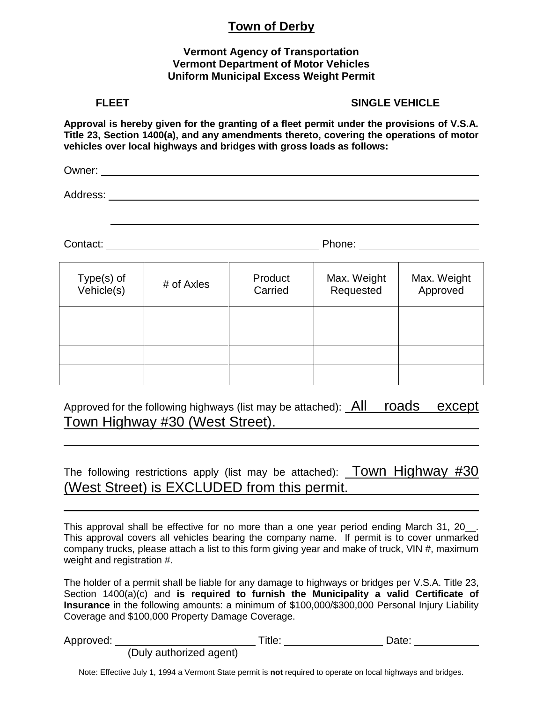## **Town of Derby**

#### **Vermont Agency of Transportation Vermont Department of Motor Vehicles Uniform Municipal Excess Weight Permit**

### FLEET SINGLE VEHICLE

**Approval is hereby given for the granting of a fleet permit under the provisions of V.S.A. Title 23, Section 1400(a), and any amendments thereto, covering the operations of motor vehicles over local highways and bridges with gross loads as follows:**

Owner:

Address: **Address: Address: Address: Address: Address: Address: Address: Address: Address: Address: Address: Address: Address: Address: Address: Address: Address: Address: Address: Add** 

Contact: Phone:

| Type(s) of<br>$V$ ehicle $(s)$ | # of Axles | Product<br>Carried | Max. Weight<br>Requested | Max. Weight<br>Approved |  |
|--------------------------------|------------|--------------------|--------------------------|-------------------------|--|
|                                |            |                    |                          |                         |  |
|                                |            |                    |                          |                         |  |
|                                |            |                    |                          |                         |  |
|                                |            |                    |                          |                         |  |

Approved for the following highways (list may be attached): All roads except Town Highway #30 (West Street).

The following restrictions apply (list may be attached): **Town Highway #30** (West Street) is EXCLUDED from this permit.

This approval shall be effective for no more than a one year period ending March 31, 20. This approval covers all vehicles bearing the company name. If permit is to cover unmarked company trucks, please attach a list to this form giving year and make of truck, VIN #, maximum weight and registration #.

The holder of a permit shall be liable for any damage to highways or bridges per V.S.A. Title 23, Section 1400(a)(c) and **is required to furnish the Municipality a valid Certificate of Insurance** in the following amounts: a minimum of \$100,000/\$300,000 Personal Injury Liability Coverage and \$100,000 Property Damage Coverage.

| Approved: |                         | ™itle: | Date: |  |
|-----------|-------------------------|--------|-------|--|
|           | (Duly authorized agent) |        |       |  |

Note: Effective July 1, 1994 a Vermont State permit is **not** required to operate on local highways and bridges.